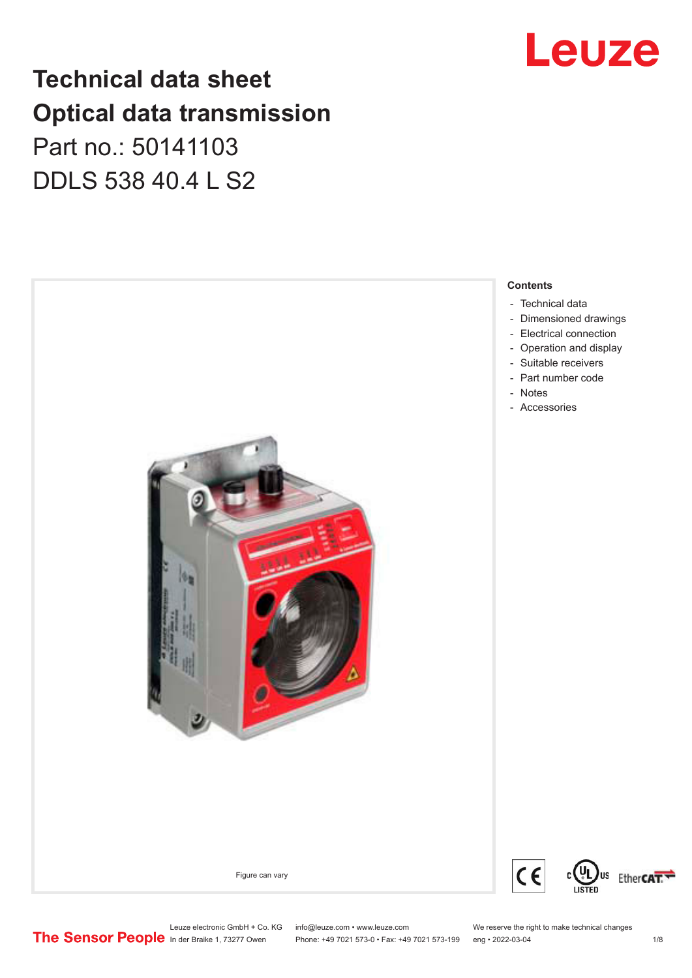### **Technical data sheet Optical data transmission**

### Part no.: 50141103 DDLS 538 40.4 L S2



Leuze electronic GmbH + Co. KG info@leuze.com • www.leuze.com We reserve the right to make technical changes<br>
The Sensor People in der Braike 1, 73277 Owen Phone: +49 7021 573-0 • Fax: +49 7021 573-199 eng • 2022-03-04



## Leuze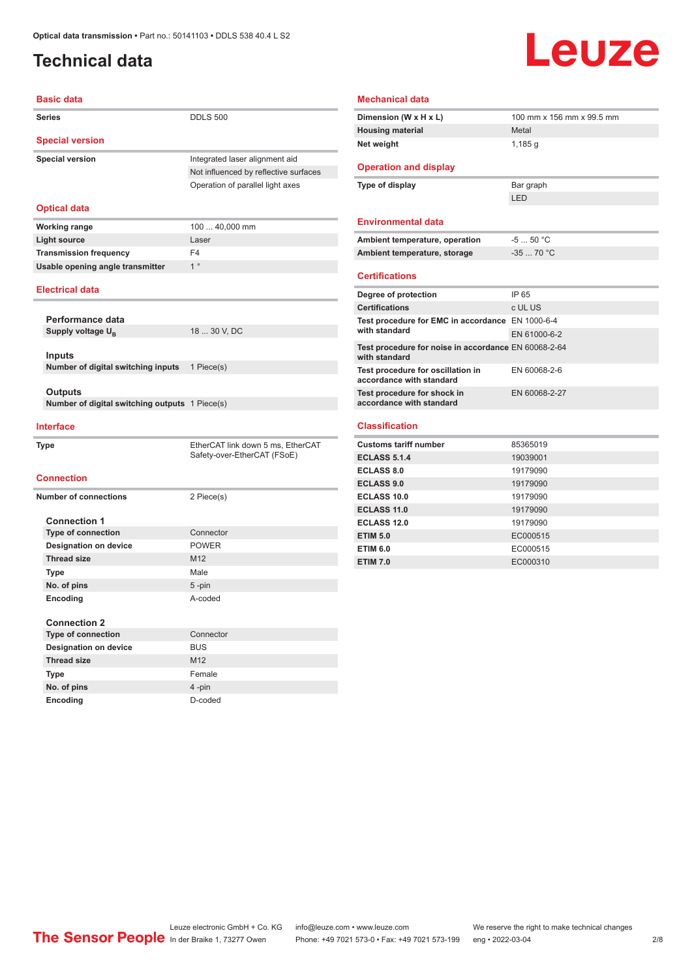#### <span id="page-1-0"></span>**Technical data**

# Leuze

| <b>Basic data</b>                              |                                       |
|------------------------------------------------|---------------------------------------|
| <b>Series</b>                                  | <b>DDLS 500</b>                       |
| <b>Special version</b>                         |                                       |
| <b>Special version</b>                         | Integrated laser alignment aid        |
|                                                | Not influenced by reflective surfaces |
|                                                | Operation of parallel light axes      |
|                                                |                                       |
| <b>Optical data</b>                            |                                       |
| <b>Working range</b>                           | 100  40,000 mm                        |
| <b>Light source</b>                            | Laser                                 |
| <b>Transmission frequency</b>                  | F4                                    |
| Usable opening angle transmitter               | $1^{\circ}$                           |
| <b>Electrical data</b>                         |                                       |
|                                                |                                       |
| Performance data                               |                                       |
| Supply voltage U <sub>B</sub>                  | 18  30 V, DC                          |
|                                                |                                       |
| <b>Inputs</b>                                  |                                       |
| Number of digital switching inputs             | 1 Piece(s)                            |
| Outputs                                        |                                       |
| Number of digital switching outputs 1 Piece(s) |                                       |
|                                                |                                       |
| <b>Interface</b>                               |                                       |
| <b>Type</b>                                    | EtherCAT link down 5 ms, EtherCAT     |
|                                                | Safety-over-EtherCAT (FSoE)           |
| <b>Connection</b>                              |                                       |
|                                                |                                       |
| <b>Number of connections</b>                   | 2 Piece(s)                            |
| <b>Connection 1</b>                            |                                       |
| <b>Type of connection</b>                      | Connector                             |
| <b>Designation on device</b>                   | <b>POWER</b>                          |
| <b>Thread size</b>                             | M12                                   |
| <b>Type</b>                                    | Male                                  |
| No. of pins                                    | 5-pin                                 |
| Encoding                                       | A-coded                               |
|                                                |                                       |
| <b>Connection 2</b>                            |                                       |
| <b>Type of connection</b>                      | Connector                             |
| <b>Designation on device</b>                   | <b>BUS</b>                            |
|                                                |                                       |

**Type** Female **No. of pins** 4 -pin **Encoding** D-coded

| <b>Mechanical data</b>                                        |                           |
|---------------------------------------------------------------|---------------------------|
| Dimension (W x H x L)                                         | 100 mm x 156 mm x 99.5 mm |
| <b>Housing material</b>                                       | Metal                     |
| Net weight                                                    | 1,185q                    |
|                                                               |                           |
| <b>Operation and display</b>                                  |                           |
| Type of display                                               | Bar graph                 |
|                                                               | I FD                      |
|                                                               |                           |
| <b>Environmental data</b>                                     |                           |
| Ambient temperature, operation                                | $-550 °C$                 |
| Ambient temperature, storage                                  | $-3570 °C$                |
|                                                               |                           |
| <b>Certifications</b>                                         |                           |
| Degree of protection                                          | IP 65                     |
| <b>Certifications</b>                                         | c UL US                   |
| Test procedure for EMC in accordance EN 1000-6-4              |                           |
| with standard                                                 | EN 61000-6-2              |
| Test procedure for noise in accordance EN 60068-2-64          |                           |
| with standard                                                 |                           |
| Test procedure for oscillation in<br>accordance with standard | EN 60068-2-6              |
| Test procedure for shock in                                   | EN 60068-2-27             |
| accordance with standard                                      |                           |
| <b>Classification</b>                                         |                           |
|                                                               |                           |
| <b>Customs tariff number</b>                                  | 85365019                  |
| <b>ECLASS 5.1.4</b>                                           | 19039001                  |
| <b>ECLASS 8.0</b>                                             | 19179090                  |
| <b>ECLASS 9.0</b>                                             | 19179090                  |
| <b>ECLASS 10.0</b>                                            | 19179090                  |
| <b>ECLASS 11.0</b>                                            | 19179090                  |
| ECLASS 12.0                                                   | 19179090                  |

**ETIM 5.0** EC000515 **ETIM 6.0** EC000515 **ETIM 7.0** EC000310

Leuze electronic GmbH + Co. KG info@leuze.com • www.leuze.com We reserve the right to make technical changes<br>
The Sensor People in der Braike 1, 73277 Owen Phone: +49 7021 573-0 • Fax: +49 7021 573-199 eng • 2022-03-04 Phone: +49 7021 573-0 • Fax: +49 7021 573-199 eng • 2022-03-04 2 2/8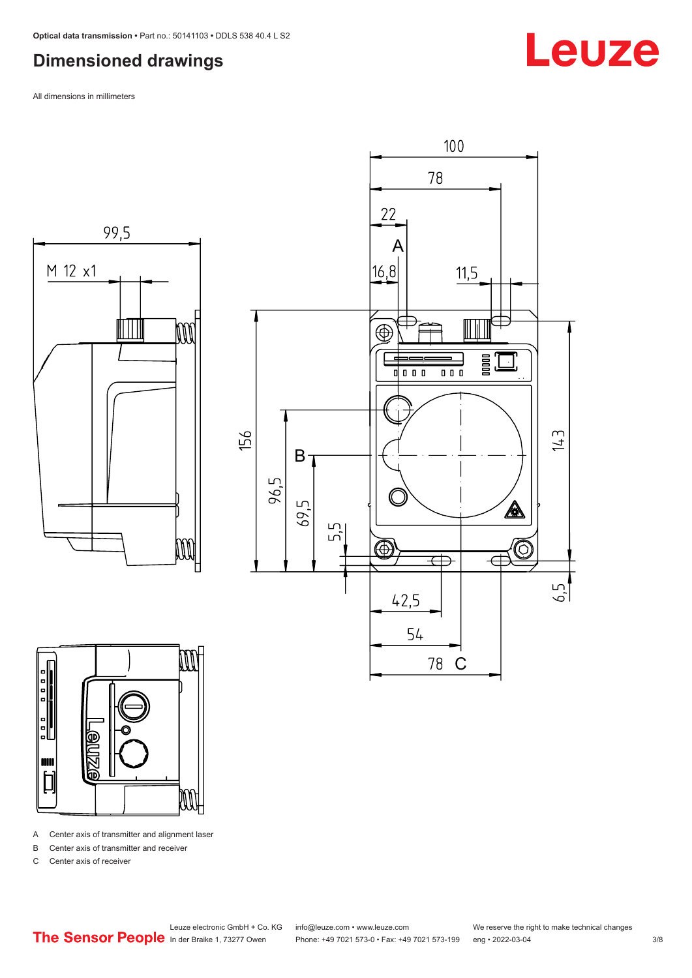#### <span id="page-2-0"></span>**Dimensioned drawings**

All dimensions in millimeters







A Center axis of transmitter and alignment laser

B Center axis of transmitter and receiver

C Center axis of receiver

Leuze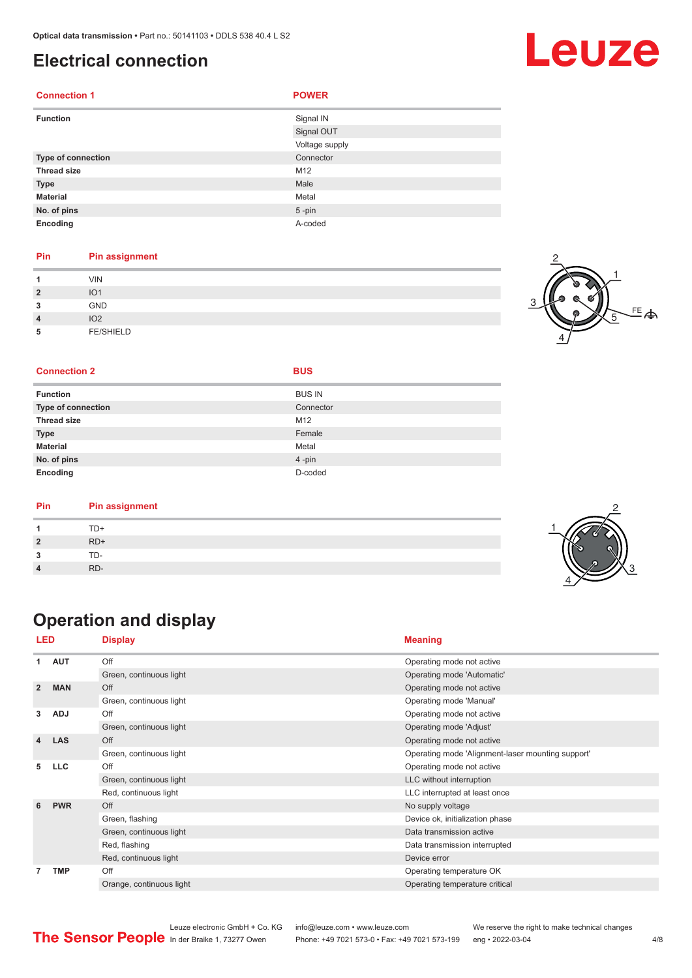#### <span id="page-3-0"></span>**Electrical connection**

| <b>Connection 1</b> | <b>POWER</b>   |
|---------------------|----------------|
| <b>Function</b>     | Signal IN      |
|                     | Signal OUT     |
|                     | Voltage supply |
| Type of connection  | Connector      |
| <b>Thread size</b>  | M12            |
| <b>Type</b>         | Male           |
| <b>Material</b>     | Metal          |
| No. of pins         | $5 - pin$      |
| Encoding            | A-coded        |

#### **Pin Pin assignment**

| $\overline{2}$<br>3<br>$\overline{4}$ | <b>VIN</b><br>IO <sub>1</sub><br>GND<br>IO <sub>2</sub> |  |
|---------------------------------------|---------------------------------------------------------|--|
| 5                                     | <b>FE/SHIELD</b>                                        |  |

#### $FE$  $\Leftrightarrow$ 1 2 4 5

2

3

4

#### **Connection 2 BUS**

|  |  | × |  |
|--|--|---|--|
|  |  |   |  |
|  |  |   |  |
|  |  |   |  |

| <b>Function</b>    | <b>BUS IN</b> |
|--------------------|---------------|
| Type of connection | Connector     |
| <b>Thread size</b> | M12           |
| <b>Type</b>        | Female        |
| <b>Material</b>    | Metal         |
| No. of pins        | 4-pin         |
| Encoding           | D-coded       |

| Pin | <b>Pin assignment</b> |  |
|-----|-----------------------|--|
|     | TD+                   |  |
|     | $RD+$                 |  |
|     | TD-                   |  |
|     | RD-                   |  |

### **Operation and display**

| <b>LED</b>     |            | <b>Display</b>           | <b>Meaning</b>                                    |
|----------------|------------|--------------------------|---------------------------------------------------|
| 1              | <b>AUT</b> | Off                      | Operating mode not active                         |
|                |            | Green, continuous light  | Operating mode 'Automatic'                        |
| $\overline{2}$ | <b>MAN</b> | Off                      | Operating mode not active                         |
|                |            | Green, continuous light  | Operating mode 'Manual'                           |
| 3              | <b>ADJ</b> | Off                      | Operating mode not active                         |
|                |            | Green, continuous light  | Operating mode 'Adjust'                           |
| 4              | <b>LAS</b> | Off                      | Operating mode not active                         |
|                |            | Green, continuous light  | Operating mode 'Alignment-laser mounting support' |
| 5              | <b>LLC</b> | Off                      | Operating mode not active                         |
|                |            | Green, continuous light  | LLC without interruption                          |
|                |            | Red, continuous light    | LLC interrupted at least once                     |
| 6              | <b>PWR</b> | Off                      | No supply voltage                                 |
|                |            | Green, flashing          | Device ok, initialization phase                   |
|                |            | Green, continuous light  | Data transmission active                          |
|                |            | Red, flashing            | Data transmission interrupted                     |
|                |            | Red, continuous light    | Device error                                      |
| 7              | <b>TMP</b> | Off                      | Operating temperature OK                          |
|                |            | Orange, continuous light | Operating temperature critical                    |





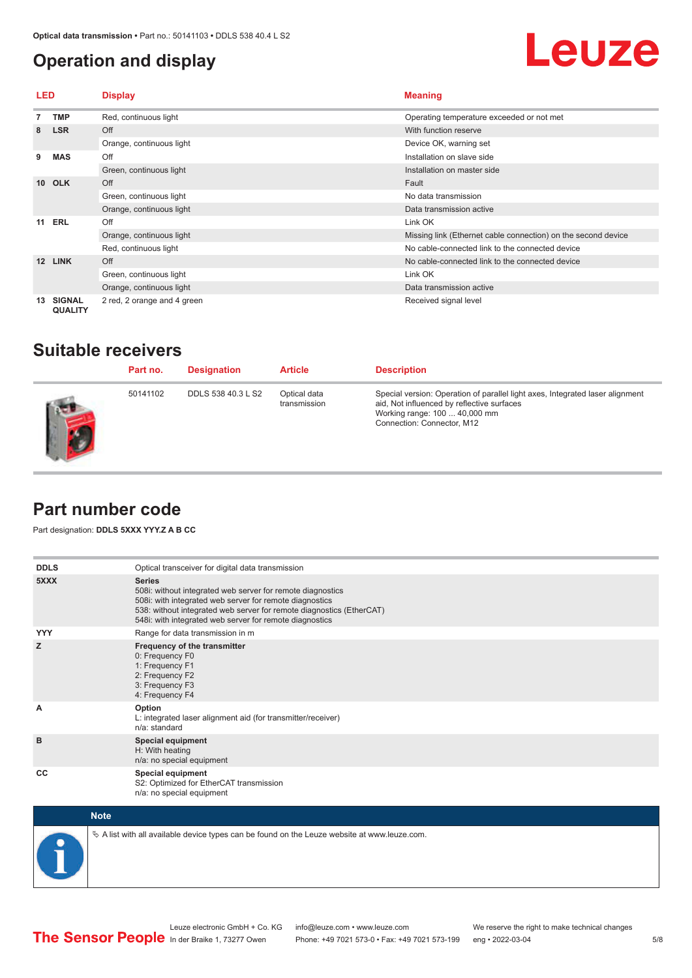#### <span id="page-4-0"></span>**Operation and display**

## Leuze

| LED             |                                 | <b>Display</b>              | <b>Meaning</b>                                                |
|-----------------|---------------------------------|-----------------------------|---------------------------------------------------------------|
|                 | <b>TMP</b>                      | Red, continuous light       | Operating temperature exceeded or not met                     |
| 8               | <b>LSR</b>                      | Off                         | With function reserve                                         |
|                 |                                 | Orange, continuous light    | Device OK, warning set                                        |
| 9               | <b>MAS</b>                      | Off                         | Installation on slave side                                    |
|                 |                                 | Green, continuous light     | Installation on master side                                   |
| 10 <sup>1</sup> | <b>OLK</b>                      | Off                         | Fault                                                         |
|                 |                                 | Green, continuous light     | No data transmission                                          |
|                 |                                 | Orange, continuous light    | Data transmission active                                      |
|                 | <b>11 ERL</b>                   | Off                         | Link OK                                                       |
|                 |                                 | Orange, continuous light    | Missing link (Ethernet cable connection) on the second device |
|                 |                                 | Red, continuous light       | No cable-connected link to the connected device               |
| 12 <sup>2</sup> | <b>LINK</b>                     | Off                         | No cable-connected link to the connected device               |
|                 |                                 | Green, continuous light     | Link OK                                                       |
|                 |                                 | Orange, continuous light    | Data transmission active                                      |
| 13              | <b>SIGNAL</b><br><b>QUALITY</b> | 2 red, 2 orange and 4 green | Received signal level                                         |

#### **Suitable receivers**

| Part no. | <b>Designation</b> | <b>Article</b>               | <b>Description</b>                                                                                                                                                                         |
|----------|--------------------|------------------------------|--------------------------------------------------------------------------------------------------------------------------------------------------------------------------------------------|
| 50141102 | DDLS 538 40.3 L S2 | Optical data<br>transmission | Special version: Operation of parallel light axes, Integrated laser alignment<br>aid, Not influenced by reflective surfaces<br>Working range: 100  40,000 mm<br>Connection: Connector, M12 |

#### **Part number code**

Part designation: **DDLS 5XXX YYY.Z A B CC**

| <b>DDLS</b> | Optical transceiver for digital data transmission                                                                                                                                                                                                                         |
|-------------|---------------------------------------------------------------------------------------------------------------------------------------------------------------------------------------------------------------------------------------------------------------------------|
| 5XXX        | <b>Series</b><br>508i: without integrated web server for remote diagnostics<br>508i: with integrated web server for remote diagnostics<br>538: without integrated web server for remote diagnostics (EtherCAT)<br>548i: with integrated web server for remote diagnostics |
| <b>YYY</b>  | Range for data transmission in m                                                                                                                                                                                                                                          |
| z           | Frequency of the transmitter<br>0: Frequency F0<br>1: Frequency F1<br>2: Frequency F2<br>3: Frequency F3<br>4: Frequency F4                                                                                                                                               |
| A           | Option<br>L: integrated laser alignment aid (for transmitter/receiver)<br>n/a: standard                                                                                                                                                                                   |
| B           | <b>Special equipment</b><br>H: With heating<br>n/a: no special equipment                                                                                                                                                                                                  |
| CC          | Special equipment<br>S2: Optimized for EtherCAT transmission<br>n/a: no special equipment                                                                                                                                                                                 |



 $\&$  A list with all available device types can be found on the Leuze website at www.leuze.com.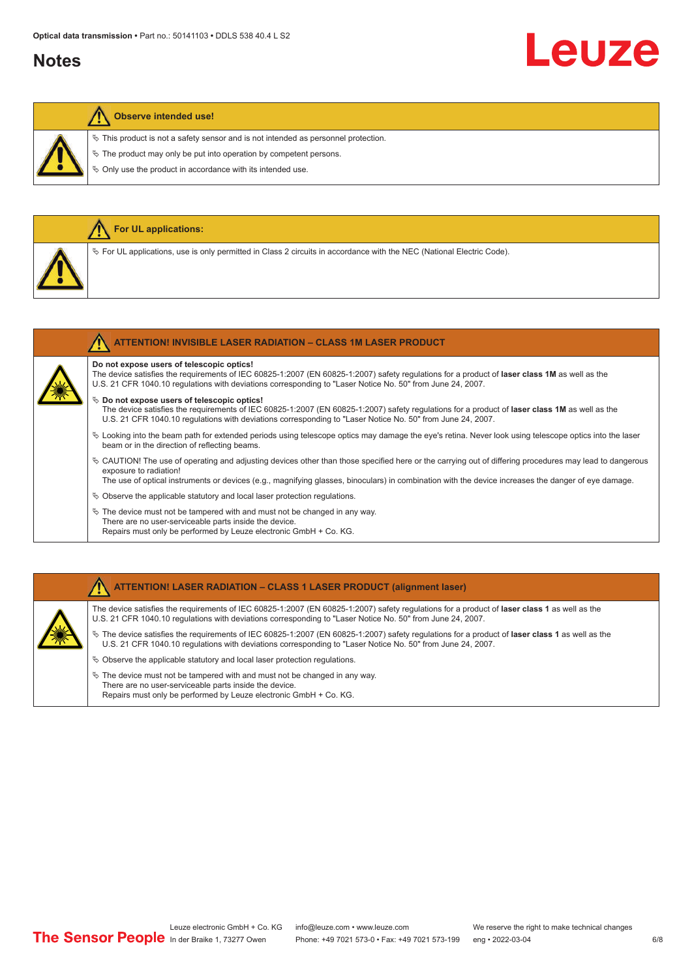#### **Notes**

# Leuze

#### **Observe intended use!**

**For UL applications:**

 $\ddot{\phi}$  This product is not a safety sensor and is not intended as personnel protection.

 $\&$  The product may only be put into operation by competent persons.

 $\%$  Only use the product in accordance with its intended use.

|  | $\%$ For UL applications, use is only permitted in Class 2 circuits in accordance with the NEC (National Electric Code).                                                                                                                                                                                                                    |
|--|---------------------------------------------------------------------------------------------------------------------------------------------------------------------------------------------------------------------------------------------------------------------------------------------------------------------------------------------|
|  |                                                                                                                                                                                                                                                                                                                                             |
|  | <b>ATTENTION! INVISIBLE LASER RADIATION - CLASS 1M LASER PRODUCT</b>                                                                                                                                                                                                                                                                        |
|  | Do not expose users of telescopic optics!<br>The device satisfies the requirements of IEC 60825-1:2007 (EN 60825-1:2007) safety regulations for a product of laser class 1M as well as the<br>U.S. 21 CFR 1040.10 regulations with deviations corresponding to "Laser Notice No. 50" from June 24, 2007.                                    |
|  | $\%$ Do not expose users of telescopic optics!<br>The device satisfies the requirements of IEC 60825-1:2007 (EN 60825-1:2007) safety regulations for a product of laser class 1M as well as the<br>U.S. 21 CFR 1040.10 regulations with deviations corresponding to "Laser Notice No. 50" from June 24, 2007.                               |
|  | $\&$ Looking into the beam path for extended periods using telescope optics may damage the eye's retina. Never look using telescope optics into the laser<br>beam or in the direction of reflecting beams.                                                                                                                                  |
|  | $\&$ CAUTION! The use of operating and adjusting devices other than those specified here or the carrying out of differing procedures may lead to dangerous<br>exposure to radiation!<br>The use of optical instruments or devices (e.g., magnifying glasses, binoculars) in combination with the device increases the danger of eye damage. |
|  | $\&$ Observe the applicable statutory and local laser protection regulations.                                                                                                                                                                                                                                                               |

 $\%$  The device must not be tampered with and must not be changed in any way. There are no user-serviceable parts inside the device. Repairs must only be performed by Leuze electronic GmbH + Co. KG.

#### **ATTENTION! LASER RADIATION – CLASS 1 LASER PRODUCT (alignment laser)**

The device satisfies the requirements of IEC 60825-1:2007 (EN 60825-1:2007) safety regulations for a product of **laser class 1** as well as the U.S. 21 CFR 1040.10 regulations with deviations corresponding to "Laser Notice No. 50" from June 24, 2007.

- ª The device satisfies the requirements of IEC 60825-1:2007 (EN 60825-1:2007) safety regulations for a product of **laser class 1** as well as the U.S. 21 CFR 1040.10 regulations with deviations corresponding to "Laser Notice No. 50" from June 24, 2007.
- $\%$  Observe the applicable statutory and local laser protection regulations.
- $\&$  The device must not be tampered with and must not be changed in any way. There are no user-serviceable parts inside the device. Repairs must only be performed by Leuze electronic GmbH + Co. KG.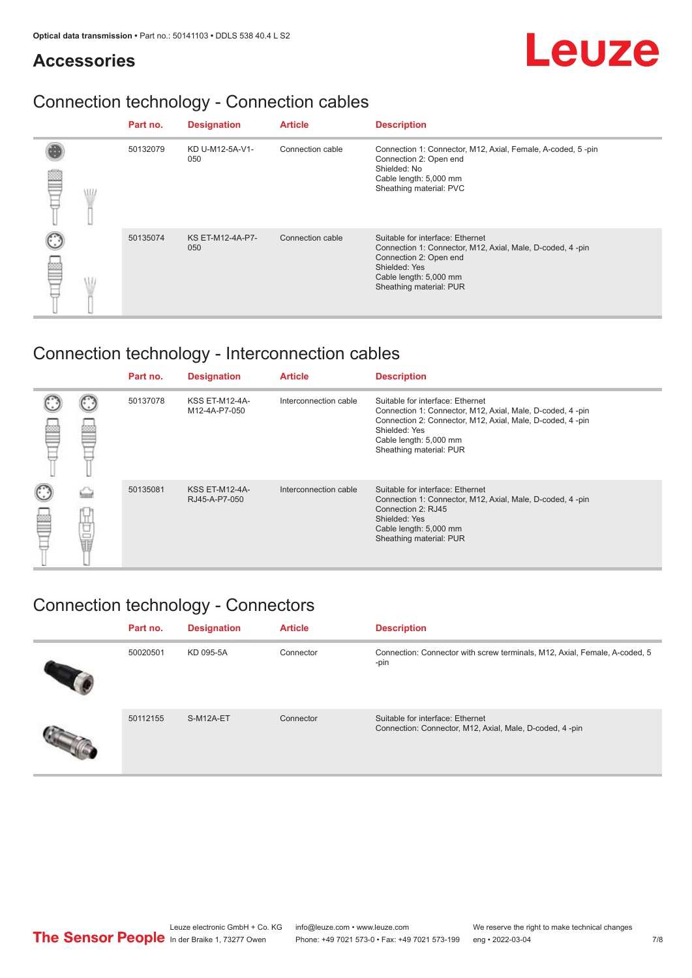#### **Accessories**

# Leuze

### Connection technology - Connection cables

|   | Part no. | <b>Designation</b>             | <b>Article</b>   | <b>Description</b>                                                                                                                                                                            |
|---|----------|--------------------------------|------------------|-----------------------------------------------------------------------------------------------------------------------------------------------------------------------------------------------|
| ≝ | 50132079 | KD U-M12-5A-V1-<br>050         | Connection cable | Connection 1: Connector, M12, Axial, Female, A-coded, 5-pin<br>Connection 2: Open end<br>Shielded: No<br>Cable length: 5,000 mm<br>Sheathing material: PVC                                    |
|   | 50135074 | <b>KS ET-M12-4A-P7-</b><br>050 | Connection cable | Suitable for interface: Ethernet<br>Connection 1: Connector, M12, Axial, Male, D-coded, 4-pin<br>Connection 2: Open end<br>Shielded: Yes<br>Cable length: 5,000 mm<br>Sheathing material: PUR |

### Connection technology - Interconnection cables

|        |   | Part no. | <b>Designation</b>                     | <b>Article</b>        | <b>Description</b>                                                                                                                                                                                                               |
|--------|---|----------|----------------------------------------|-----------------------|----------------------------------------------------------------------------------------------------------------------------------------------------------------------------------------------------------------------------------|
|        |   | 50137078 | <b>KSS ET-M12-4A-</b><br>M12-4A-P7-050 | Interconnection cable | Suitable for interface: Ethernet<br>Connection 1: Connector, M12, Axial, Male, D-coded, 4-pin<br>Connection 2: Connector, M12, Axial, Male, D-coded, 4-pin<br>Shielded: Yes<br>Cable length: 5,000 mm<br>Sheathing material: PUR |
| C<br>丝 | Ö | 50135081 | <b>KSS ET-M12-4A-</b><br>RJ45-A-P7-050 | Interconnection cable | Suitable for interface: Ethernet<br>Connection 1: Connector, M12, Axial, Male, D-coded, 4-pin<br>Connection 2: RJ45<br>Shielded: Yes<br>Cable length: 5,000 mm<br>Sheathing material: PUR                                        |

### Connection technology - Connectors

| Part no. | <b>Designation</b> | <b>Article</b> | <b>Description</b>                                                                          |
|----------|--------------------|----------------|---------------------------------------------------------------------------------------------|
| 50020501 | KD 095-5A          | Connector      | Connection: Connector with screw terminals, M12, Axial, Female, A-coded, 5<br>-pin          |
| 50112155 | S-M12A-ET          | Connector      | Suitable for interface: Ethernet<br>Connection: Connector, M12, Axial, Male, D-coded, 4-pin |